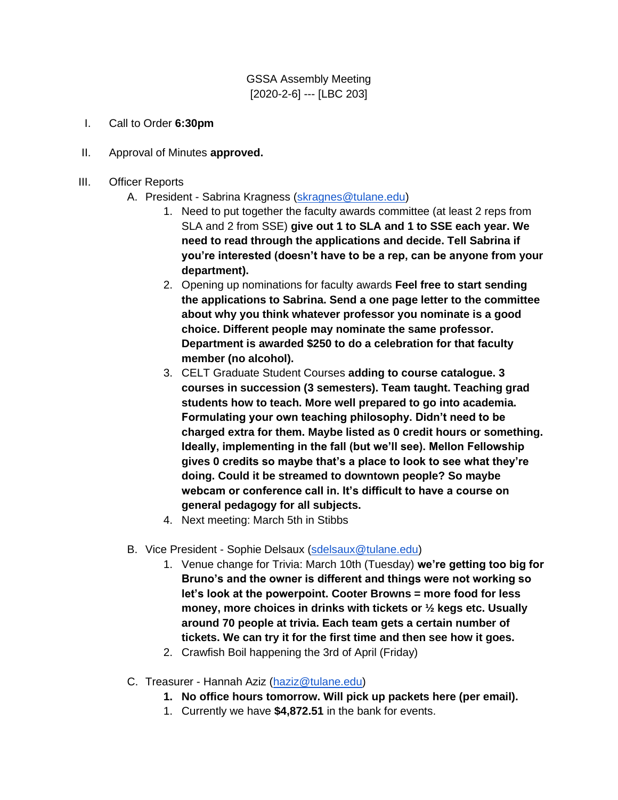GSSA Assembly Meeting [2020-2-6] --- [LBC 203]

- I. Call to Order **6:30pm**
- II. Approval of Minutes **approved.**
- III. Officer Reports
	- A. President Sabrina Kragness [\(skragnes@tulane.edu\)](mailto:skragnes@tulane.edu)
		- 1. Need to put together the faculty awards committee (at least 2 reps from SLA and 2 from SSE) **give out 1 to SLA and 1 to SSE each year. We need to read through the applications and decide. Tell Sabrina if you're interested (doesn't have to be a rep, can be anyone from your department).**
		- 2. Opening up nominations for faculty awards **Feel free to start sending the applications to Sabrina. Send a one page letter to the committee about why you think whatever professor you nominate is a good choice. Different people may nominate the same professor. Department is awarded \$250 to do a celebration for that faculty member (no alcohol).**
		- 3. CELT Graduate Student Courses **adding to course catalogue. 3 courses in succession (3 semesters). Team taught. Teaching grad students how to teach. More well prepared to go into academia. Formulating your own teaching philosophy. Didn't need to be charged extra for them. Maybe listed as 0 credit hours or something. Ideally, implementing in the fall (but we'll see). Mellon Fellowship gives 0 credits so maybe that's a place to look to see what they're doing. Could it be streamed to downtown people? So maybe webcam or conference call in. It's difficult to have a course on general pedagogy for all subjects.**
		- 4. Next meeting: March 5th in Stibbs
	- B. Vice President Sophie Delsaux [\(sdelsaux@tulane.edu\)](mailto:sdelsaux@tulane.edu)
		- 1. Venue change for Trivia: March 10th (Tuesday) **we're getting too big for Bruno's and the owner is different and things were not working so let's look at the powerpoint. Cooter Browns = more food for less money, more choices in drinks with tickets or ½ kegs etc. Usually around 70 people at trivia. Each team gets a certain number of tickets. We can try it for the first time and then see how it goes.**
		- 2. Crawfish Boil happening the 3rd of April (Friday)
	- C. Treasurer Hannah Aziz [\(haziz@tulane.edu\)](mailto:haziz@tulane.edu)
		- **1. No office hours tomorrow. Will pick up packets here (per email).**
		- 1. Currently we have **\$4,872.51** in the bank for events.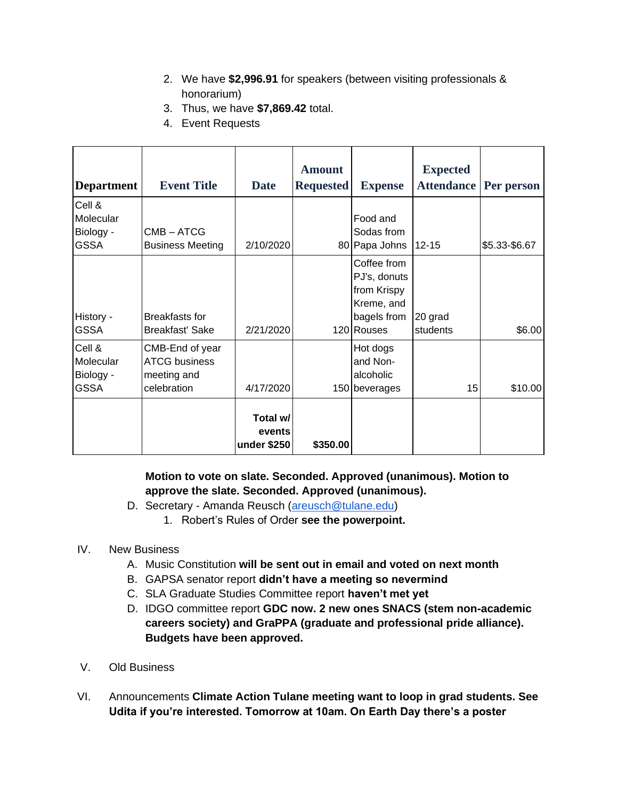- 2. We have **\$2,996.91** for speakers (between visiting professionals & honorarium)
- 3. Thus, we have **\$7,869.42** total.
- 4. Event Requests

| <b>Department</b>                               | <b>Event Title</b>                                                    | <b>Date</b>                       | <b>Amount</b><br><b>Requested</b> | <b>Expense</b>                                                                        | <b>Expected</b><br><b>Attendance</b> | Per person    |
|-------------------------------------------------|-----------------------------------------------------------------------|-----------------------------------|-----------------------------------|---------------------------------------------------------------------------------------|--------------------------------------|---------------|
| Cell &<br>Molecular<br>Biology -<br><b>GSSA</b> | CMB-ATCG<br><b>Business Meeting</b>                                   | 2/10/2020                         |                                   | Food and<br>Sodas from<br>80 Papa Johns                                               | $12 - 15$                            | \$5.33-\$6.67 |
| History -<br><b>GSSA</b>                        | <b>Breakfasts for</b><br><b>Breakfast' Sake</b>                       | 2/21/2020                         |                                   | Coffee from<br>PJ's, donuts<br>from Krispy<br>Kreme, and<br>bagels from<br>120 Rouses | 20 grad<br>students                  | \$6.00        |
| Cell &<br>Molecular<br>Biology -<br><b>GSSA</b> | CMB-End of year<br><b>ATCG business</b><br>meeting and<br>celebration | 4/17/2020                         |                                   | Hot dogs<br>and Non-<br>alcoholic<br>150 beverages                                    | 15                                   | \$10.00       |
|                                                 |                                                                       | Total w/<br>events<br>under \$250 | \$350.00                          |                                                                                       |                                      |               |

## **Motion to vote on slate. Seconded. Approved (unanimous). Motion to approve the slate. Seconded. Approved (unanimous).**

- D. Secretary Amanda Reusch [\(areusch@tulane.edu\)](mailto:areusch@tulane.edu)
	- 1. Robert's Rules of Order **see the powerpoint.**

## IV. New Business

- A. Music Constitution **will be sent out in email and voted on next month**
- B. GAPSA senator report **didn't have a meeting so nevermind**
- C. SLA Graduate Studies Committee report **haven't met yet**
- D. IDGO committee report **GDC now. 2 new ones SNACS (stem non-academic careers society) and GraPPA (graduate and professional pride alliance). Budgets have been approved.**
- V. Old Business
- VI. Announcements **Climate Action Tulane meeting want to loop in grad students. See Udita if you're interested. Tomorrow at 10am. On Earth Day there's a poster**